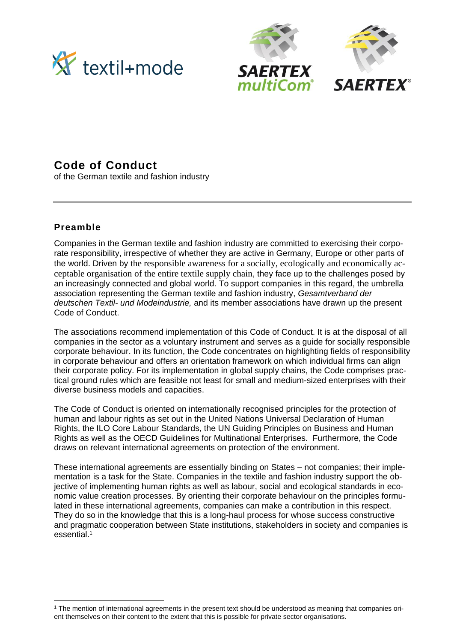





# **Code of Conduct**

of the German textile and fashion industry

# **Preamble**

Companies in the German textile and fashion industry are committed to exercising their corporate responsibility, irrespective of whether they are active in Germany, Europe or other parts of the world. Driven by the responsible awareness for a socially, ecologically and economically acceptable organisation of the entire textile supply chain, they face up to the challenges posed by an increasingly connected and global world. To support companies in this regard, the umbrella association representing the German textile and fashion industry, *Gesamtverband der deutschen Textil- und Modeindustrie,* and its member associations have drawn up the present Code of Conduct.

The associations recommend implementation of this Code of Conduct. It is at the disposal of all companies in the sector as a voluntary instrument and serves as a guide for socially responsible corporate behaviour. In its function, the Code concentrates on highlighting fields of responsibility in corporate behaviour and offers an orientation framework on which individual firms can align their corporate policy. For its implementation in global supply chains, the Code comprises practical ground rules which are feasible not least for small and medium-sized enterprises with their diverse business models and capacities.

The Code of Conduct is oriented on internationally recognised principles for the protection of human and labour rights as set out in the United Nations Universal Declaration of Human Rights, the ILO Core Labour Standards, the UN Guiding Principles on Business and Human Rights as well as the OECD Guidelines for Multinational Enterprises. Furthermore, the Code draws on relevant international agreements on protection of the environment.

These international agreements are essentially binding on States – not companies; their implementation is a task for the State. Companies in the textile and fashion industry support the objective of implementing human rights as well as labour, social and ecological standards in economic value creation processes. By orienting their corporate behaviour on the principles formulated in these international agreements, companies can make a contribution in this respect. They do so in the knowledge that this is a long-haul process for whose success constructive and pragmatic cooperation between State institutions, stakeholders in society and companies is essential. 1

<sup>1</sup> The mention of international agreements in the present text should be understood as meaning that companies orient themselves on their content to the extent that this is possible for private sector organisations.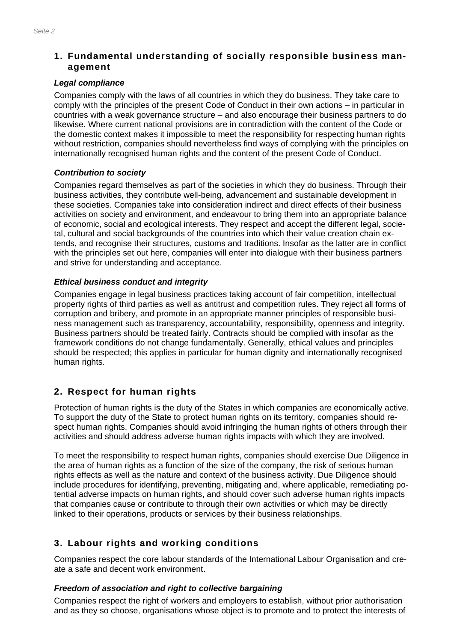# **1. Fundamental understanding of socially responsible business management**

#### *Legal compliance*

Companies comply with the laws of all countries in which they do business. They take care to comply with the principles of the present Code of Conduct in their own actions – in particular in countries with a weak governance structure – and also encourage their business partners to do likewise. Where current national provisions are in contradiction with the content of the Code or the domestic context makes it impossible to meet the responsibility for respecting human rights without restriction, companies should nevertheless find ways of complying with the principles on internationally recognised human rights and the content of the present Code of Conduct.

## *Contribution to society*

Companies regard themselves as part of the societies in which they do business. Through their business activities, they contribute well-being, advancement and sustainable development in these societies. Companies take into consideration indirect and direct effects of their business activities on society and environment, and endeavour to bring them into an appropriate balance of economic, social and ecological interests. They respect and accept the different legal, societal, cultural and social backgrounds of the countries into which their value creation chain extends, and recognise their structures, customs and traditions. Insofar as the latter are in conflict with the principles set out here, companies will enter into dialogue with their business partners and strive for understanding and acceptance.

## *Ethical business conduct and integrity*

Companies engage in legal business practices taking account of fair competition, intellectual property rights of third parties as well as antitrust and competition rules. They reject all forms of corruption and bribery, and promote in an appropriate manner principles of responsible business management such as transparency, accountability, responsibility, openness and integrity. Business partners should be treated fairly. Contracts should be complied with insofar as the framework conditions do not change fundamentally. Generally, ethical values and principles should be respected; this applies in particular for human dignity and internationally recognised human rights.

# **2. Respect for human rights**

Protection of human rights is the duty of the States in which companies are economically active. To support the duty of the State to protect human rights on its territory, companies should respect human rights. Companies should avoid infringing the human rights of others through their activities and should address adverse human rights impacts with which they are involved.

To meet the responsibility to respect human rights, companies should exercise Due Diligence in the area of human rights as a function of the size of the company, the risk of serious human rights effects as well as the nature and context of the business activity. Due Diligence should include procedures for identifying, preventing, mitigating and, where applicable, remediating potential adverse impacts on human rights, and should cover such adverse human rights impacts that companies cause or contribute to through their own activities or which may be directly linked to their operations, products or services by their business relationships.

# **3. Labour rights and working conditions**

Companies respect the core labour standards of the International Labour Organisation and create a safe and decent work environment.

## *Freedom of association and right to collective bargaining*

Companies respect the right of workers and employers to establish, without prior authorisation and as they so choose, organisations whose object is to promote and to protect the interests of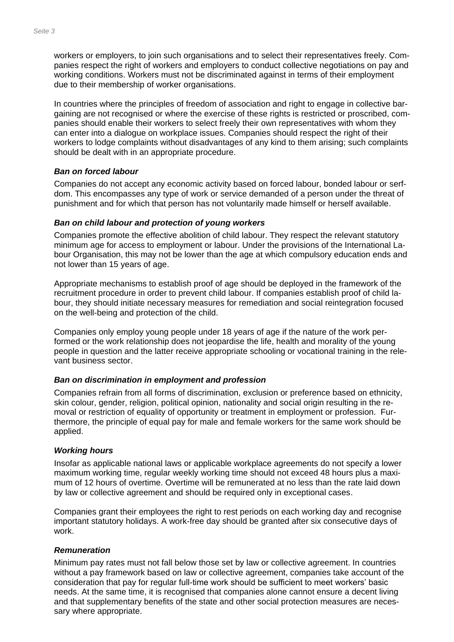workers or employers, to join such organisations and to select their representatives freely. Companies respect the right of workers and employers to conduct collective negotiations on pay and working conditions. Workers must not be discriminated against in terms of their employment due to their membership of worker organisations.

In countries where the principles of freedom of association and right to engage in collective bargaining are not recognised or where the exercise of these rights is restricted or proscribed, companies should enable their workers to select freely their own representatives with whom they can enter into a dialogue on workplace issues. Companies should respect the right of their workers to lodge complaints without disadvantages of any kind to them arising; such complaints should be dealt with in an appropriate procedure.

#### *Ban on forced labour*

Companies do not accept any economic activity based on forced labour, bonded labour or serfdom. This encompasses any type of work or service demanded of a person under the threat of punishment and for which that person has not voluntarily made himself or herself available.

#### *Ban on child labour and protection of young workers*

Companies promote the effective abolition of child labour. They respect the relevant statutory minimum age for access to employment or labour. Under the provisions of the International Labour Organisation, this may not be lower than the age at which compulsory education ends and not lower than 15 years of age.

Appropriate mechanisms to establish proof of age should be deployed in the framework of the recruitment procedure in order to prevent child labour. If companies establish proof of child labour, they should initiate necessary measures for remediation and social reintegration focused on the well-being and protection of the child.

Companies only employ young people under 18 years of age if the nature of the work performed or the work relationship does not jeopardise the life, health and morality of the young people in question and the latter receive appropriate schooling or vocational training in the relevant business sector.

## *Ban on discrimination in employment and profession*

Companies refrain from all forms of discrimination, exclusion or preference based on ethnicity, skin colour, gender, religion, political opinion, nationality and social origin resulting in the removal or restriction of equality of opportunity or treatment in employment or profession. Furthermore, the principle of equal pay for male and female workers for the same work should be applied.

#### *Working hours*

Insofar as applicable national laws or applicable workplace agreements do not specify a lower maximum working time, regular weekly working time should not exceed 48 hours plus a maximum of 12 hours of overtime. Overtime will be remunerated at no less than the rate laid down by law or collective agreement and should be required only in exceptional cases.

Companies grant their employees the right to rest periods on each working day and recognise important statutory holidays. A work-free day should be granted after six consecutive days of work.

#### *Remuneration*

Minimum pay rates must not fall below those set by law or collective agreement. In countries without a pay framework based on law or collective agreement, companies take account of the consideration that pay for regular full-time work should be sufficient to meet workers' basic needs. At the same time, it is recognised that companies alone cannot ensure a decent living and that supplementary benefits of the state and other social protection measures are necessary where appropriate.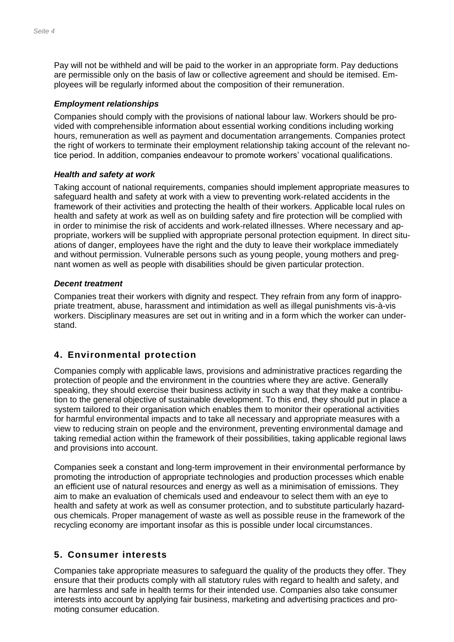Pay will not be withheld and will be paid to the worker in an appropriate form. Pay deductions are permissible only on the basis of law or collective agreement and should be itemised. Employees will be regularly informed about the composition of their remuneration.

#### *Employment relationships*

Companies should comply with the provisions of national labour law. Workers should be provided with comprehensible information about essential working conditions including working hours, remuneration as well as payment and documentation arrangements. Companies protect the right of workers to terminate their employment relationship taking account of the relevant notice period. In addition, companies endeavour to promote workers' vocational qualifications.

#### *Health and safety at work*

Taking account of national requirements, companies should implement appropriate measures to safeguard health and safety at work with a view to preventing work-related accidents in the framework of their activities and protecting the health of their workers. Applicable local rules on health and safety at work as well as on building safety and fire protection will be complied with in order to minimise the risk of accidents and work-related illnesses. Where necessary and appropriate, workers will be supplied with appropriate personal protection equipment. In direct situations of danger, employees have the right and the duty to leave their workplace immediately and without permission. Vulnerable persons such as young people, young mothers and pregnant women as well as people with disabilities should be given particular protection.

#### *Decent treatment*

Companies treat their workers with dignity and respect. They refrain from any form of inappropriate treatment, abuse, harassment and intimidation as well as illegal punishments vis-à-vis workers. Disciplinary measures are set out in writing and in a form which the worker can understand.

## **4. Environmental protection**

Companies comply with applicable laws, provisions and administrative practices regarding the protection of people and the environment in the countries where they are active. Generally speaking, they should exercise their business activity in such a way that they make a contribution to the general objective of sustainable development. To this end, they should put in place a system tailored to their organisation which enables them to monitor their operational activities for harmful environmental impacts and to take all necessary and appropriate measures with a view to reducing strain on people and the environment, preventing environmental damage and taking remedial action within the framework of their possibilities, taking applicable regional laws and provisions into account.

Companies seek a constant and long-term improvement in their environmental performance by promoting the introduction of appropriate technologies and production processes which enable an efficient use of natural resources and energy as well as a minimisation of emissions. They aim to make an evaluation of chemicals used and endeavour to select them with an eye to health and safety at work as well as consumer protection, and to substitute particularly hazardous chemicals. Proper management of waste as well as possible reuse in the framework of the recycling economy are important insofar as this is possible under local circumstances.

## **5. Consumer interests**

Companies take appropriate measures to safeguard the quality of the products they offer. They ensure that their products comply with all statutory rules with regard to health and safety, and are harmless and safe in health terms for their intended use. Companies also take consumer interests into account by applying fair business, marketing and advertising practices and promoting consumer education.